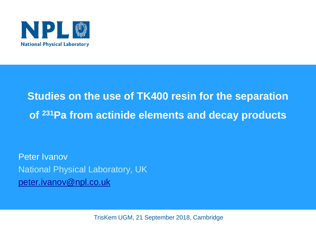

### **Studies on the use of TK400 resin for the separation of <sup>231</sup>Pa from actinide elements and decay products**

Peter Ivanov National Physical Laboratory, UK peter.ivanov@npl.co.uk

TrisKem UGM, 21 September 2018, Cambridge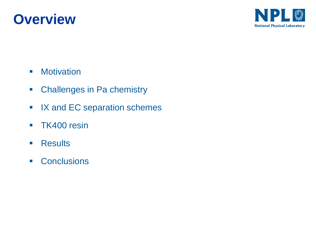



- Motivation
- Challenges in Pa chemistry
- IX and EC separation schemes
- **TK400 resin**
- Results
- Conclusions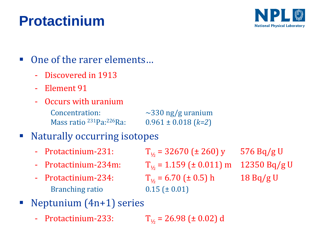## **Protactinium**



#### ■ One of the rarer elements...

- Discovered in 1913
- Element 91
- Occurs with uranium Concentration:  $\sim$ 330 ng/g uranium

 $0.961 \pm 0.018$  (*k=2*)

#### ■ Naturally occurring isotopes

Mass ratio <sup>231</sup>Pa: <sup>226</sup>Ra:

- 
- 
- Branching ratio  $0.15 \pm 0.01$

- Protactinium-231:  $T_{1/2} = 32670 \text{ (} \pm 260 \text{)} \text{ y } 576 \text{ Bq/g U}$ - Protactinium-234m:  $T_{1/2} = 1.159$  (± 0.011) m 12350 Bq/g U - Protactinium-234:  $T_{1/2} = 6.70 \text{ (} \pm 0.5 \text{)} \text{ h}$  18 Bq/g U

- Neptunium  $(4n+1)$  series
	- Protactinium-233:  $T_{1/2} = 26.98 \text{ (} \pm 0.02 \text{)} \text{ d}$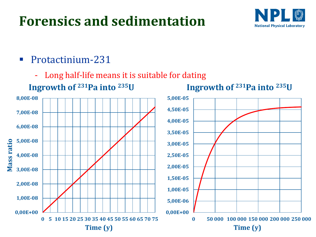### **Forensics and sedimentation**



- Protactinium-231
	- Long half-life means it is suitable for dating

**Ingrowth of <sup>231</sup>Pa into <sup>235</sup>U**



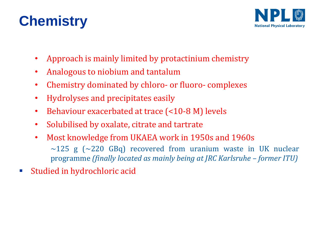## **Chemistry**



- Approach is mainly limited by protactinium chemistry
- Analogous to niobium and tantalum
- Chemistry dominated by chloro- or fluoro- complexes
- Hydrolyses and precipitates easily
- Behaviour exacerbated at trace (<10-8 M) levels
- Solubilised by oxalate, citrate and tartrate
- Most knowledge from UKAEA work in 1950s and 1960s  $\sim$ 125 g ( $\sim$ 220 GBq) recovered from uranium waste in UK nuclear programme *(finally located as mainly being at JRC Karlsruhe – former ITU)*
- Studied in hydrochloric acid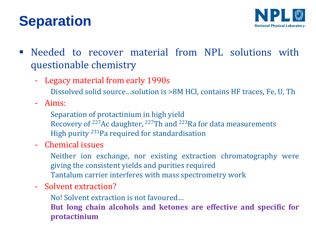## **Separation**



- **EXECTE Needed to recover material from NPL solutions with** questionable chemistry
	- Legacy material from early 1990s
		- Dissolved solid source…solution is >8M HCl, contains HF traces, Fe, U, Th
	- Aims:
		- Separation of protactinium in high yield
		- Recovery of <sup>227</sup>Ac daughter, <sup>227</sup>Th and <sup>223</sup>Ra for data measurements
		- High purity <sup>231</sup>Pa required for standardisation
	- Chemical issues
		- Neither ion exchange, nor existing extraction chromatography were giving the consistent yields and purities required Tantalum carrier interferes with mass spectrometry work
	- Solvent extraction?
		- No! Solvent extraction is not favoured…
		- **But long chain alcohols and ketones are effective and specific for protactinium**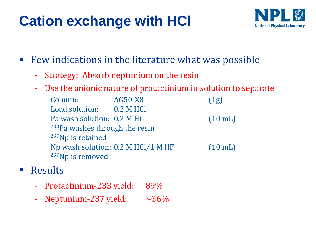# **Cation exchange with HCl**



- Few indications in the literature what was possible
	- Strategy: Absorb neptunium on the resin
	- Use the anionic nature of protactinium in solution to separate

Column: AG50-X8 (1g) Load solution: 0.2 M HCl Pa wash solution: 0.2 M HCl (10 mL) <sup>233</sup>Pa washes through the resin <sup>237</sup>Np is retained Np wash solution: 0.2 M HCl/1 M HF (10 mL) <sup>237</sup>Np is removed

- Results
	- Protactinium-233 yield: 89%
	- Neptunium-237 yield:  $\sim$ 36%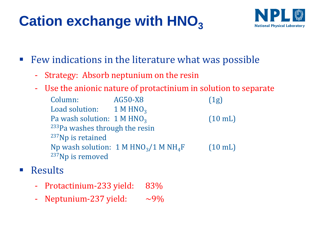# **Cation exchange with HNO**<sup>3</sup>



- Few indications in the literature what was possible
	- Strategy: Absorb neptunium on the resin
	- Use the anionic nature of protactinium in solution to separate

Column: AG50-X8 (1g) Load solution:  $1 M HNO<sub>3</sub>$ Pa wash solution:  $1 M HNO<sub>3</sub>$ (10 mL) <sup>233</sup>Pa washes through the resin <sup>237</sup>Np is retained Np wash solution:  $1 M HNO<sub>3</sub>/1 M NH<sub>4</sub>F$  (10 mL) <sup>237</sup>Np is removed

- Results
	- Protactinium-233 yield: 83%
	- Neptunium-237 yield:  $\sim$ 9%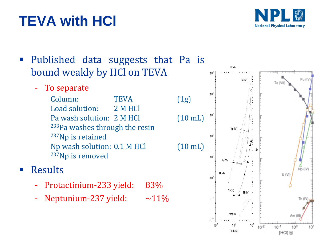# **TEVA with HCl**



#### ■ Published data suggests that Pa is bound weakly by HCl on TEVA

- To separate

Column: TEVA (1g) Load solution: 2 M HCl Pa wash solution: 2 M HCl (10 mL) <sup>233</sup>Pa washes through the resin <sup>237</sup>Np is retained Np wash solution: 0.1 M HCl (10 mL) <sup>237</sup>Np is removed

#### ■ Results

- Protactinium-233 yield: 83%
- Neptunium-237 yield:  $~11\%$

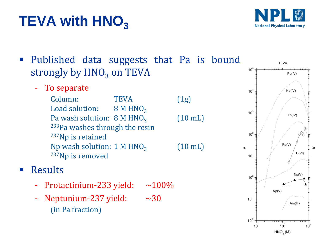# **TEVA with HNO**<sup>3</sup>



▪ Published data suggests that Pa is bound strongly by HNO<sub>3</sub> on TEVA  $10^{\circ}$ 

- To separate

Column: TEVA (1g) Load solution:  $8 M HNO<sub>3</sub>$ Pa wash solution:  $8 M HNO<sub>3</sub>$ <sup>233</sup>Pa washes through the resin <sup>237</sup>Np is retained Np wash solution:  $1 M HNO<sub>3</sub>$ <sup>237</sup>Np is removed

#### ■ Results

- Protactinium-233 yield:  $\sim$ 100%
- Neptunium-237 yield:  $\sim$ 30 (in Pa fraction)



(10 mL)

(10 mL)

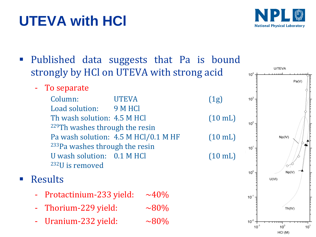# **UTEVA with HCl**



**U/TEVA** 

10 $4$ 

Published data suggests that Pa is bound strongly by HCl on UTEVA with strong acid

To separate

Column: UTEVA (1g) Load solution: 9 M HCl Th wash solution: 4.5 M HCl (10 mL) <sup>229</sup>Th washes through the resin Pa wash solution: 4.5 M HCl/0.1 M HF (10 mL) <sup>233</sup>Pa washes through the resin U wash solution:  $0.1$  M HCl (10 mL) <sup>232</sup>U is removed

#### **Results**

- Protactinium-233 yield:  $~140\%$
- Thorium-229 yield:  $\sim 80\%$
- Uranium-232 yield:  $~10^{6}$

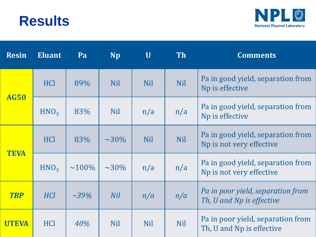#### **Results**



| <b>Resin</b> | <b>Eluant</b>    | Pa           | <b>Np</b>   | $\mathbf U$ | <b>Th</b>  | <b>Comments</b>                                                |
|--------------|------------------|--------------|-------------|-------------|------------|----------------------------------------------------------------|
| <b>AG50</b>  | <b>HCl</b>       | 89%          | <b>Nil</b>  | <b>Nil</b>  | <b>Nil</b> | Pa in good yield, separation from<br>Np is effective           |
|              | HNO <sub>3</sub> | 83%          | <b>Nil</b>  | n/a         | n/a        | Pa in good yield, separation from<br>Np is effective           |
| <b>TEVA</b>  | <b>HCl</b>       | 83%          | $\sim 30\%$ | <b>Nil</b>  | <b>Nil</b> | Pa in good yield, separation from<br>Np is not very effective  |
|              | HNO <sub>3</sub> | $\sim 100\%$ | $\sim 30\%$ | n/a         | n/a        | Pa in good yield, separation from<br>Np is not very effective  |
| <b>TBP</b>   | <b>HCl</b>       | $\sim 39\%$  | <b>Nil</b>  | n/a         | n/a        | Pa in poor yield, separation from<br>Th, U and Np is effective |
| UTEVA        | <b>HCl</b>       | 40%          | <b>Nil</b>  | <b>Nil</b>  | <b>Nil</b> | Pa in poor yield, separation from<br>Th, U and Np is effective |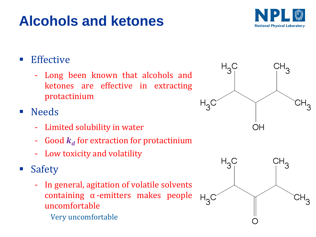# **Alcohols and ketones**



#### ■ Effective

- Long been known that alcohols and ketones are effective in extracting protactinium

#### ■ Needs

- Limited solubility in water
- $\,$  Good  $\,k_{d}^{\,}$  for extraction for protactinium
- Low toxicity and volatility
- Safety
	- In general, agitation of volatile solvents containing α -emitters makes people uncomfortable
		- Very uncomfortable



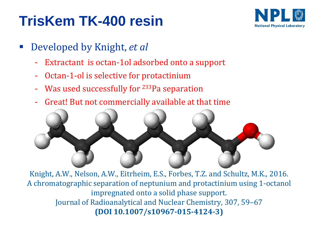## **TrisKem TK-400 resin**



- Developed by Knight, *et al* 
	- Extractant is octan-1ol adsorbed onto a support
	- Octan-1-ol is selective for protactinium
	- Was used successfully for <sup>233</sup>Pa separation
	- Great! But not commercially available at that time



Knight, A.W., Nelson, A.W., Eitrheim, E.S., Forbes, T.Z. and Schultz, M.K., 2016. A chromatographic separation of neptunium and protactinium using 1-octanol impregnated onto a solid phase support. Journal of Radioanalytical and Nuclear Chemistry, 307, 59–67 **(DOI 10.1007/s10967-015-4124-3)**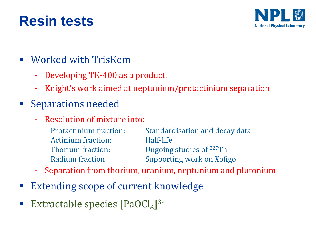### **Resin tests**



- Worked with TrisKem
	- Developing TK-400 as a product.
	- Knight's work aimed at neptunium/protactinium separation
- Separations needed
	- Resolution of mixture into:
		- Protactinium fraction: Standardisation and decay data Actinium fraction: Half-life Thorium fraction: Ongoing studies of <sup>227</sup>Th Radium fraction: Supporting work on Xofigo
	- Separation from thorium, uranium, neptunium and plutonium
- **Extending scope of current knowledge**
- Extractable species  $[PaOCl_6]$ <sup>3-</sup>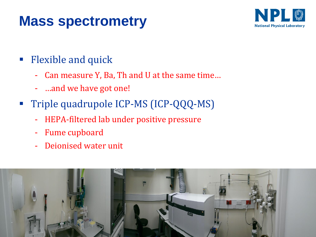### **Mass spectrometry**



- Flexible and quick
	- Can measure Y, Ba, Th and U at the same time…
	- …and we have got one!
- **Triple quadrupole ICP-MS (ICP-QQQ-MS)** 
	- HEPA-filtered lab under positive pressure
	- Fume cupboard
	- Deionised water unit

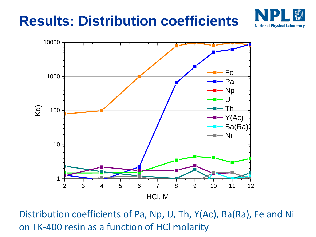## **Results: Distribution coefficients**





Distribution coefficients of Pa, Np, U, Th, Y(Ac), Ba(Ra), Fe and Ni on TK-400 resin as a function of HCl molarity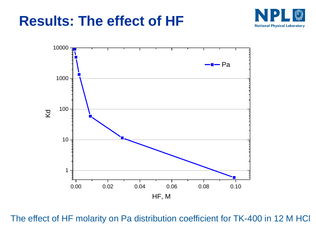#### **Results: The effect of HF**





The effect of HF molarity on Pa distribution coefficient for TK-400 in 12 M HCl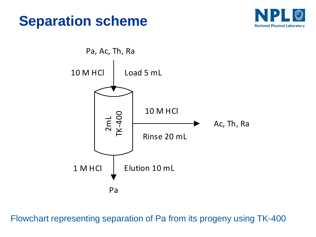





Flowchart representing separation of Pa from its progeny using TK-400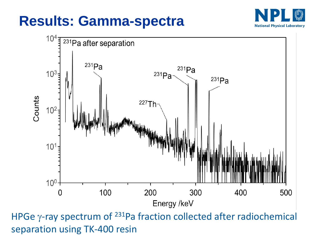### **Results: Gamma-spectra**





HPGe  $\gamma$ -ray spectrum of <sup>231</sup>Pa fraction collected after radiochemical separation using TK-400 resin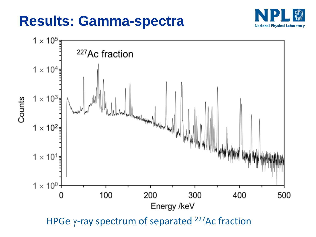### **Results: Gamma-spectra**





HPGe  $\gamma$ -ray spectrum of separated <sup>227</sup>Ac fraction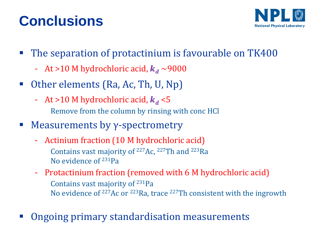# **Conclusions**



- The separation of protactinium is favourable on TK400
	- At >10 M hydrochloric acid,  $k_d \sim 9000$
- Other elements (Ra, Ac, Th, U, Np)
	- At >10 M hydrochloric acid,  $k_d$  <5 Remove from the column by rinsing with conc HCl
- $\blacksquare$  Measurements by  $\gamma$ -spectrometry
	- Actinium fraction (10 M hydrochloric acid) Contains vast majority of <sup>227</sup>Ac, <sup>227</sup>Th and <sup>223</sup>Ra No evidence of <sup>231</sup>Pa
	- Protactinium fraction (removed with 6 M hydrochloric acid) Contains vast majority of <sup>231</sup>Pa No evidence of  $227$ Ac or  $223$ Ra, trace  $227$ Th consistent with the ingrowth
- Ongoing primary standardisation measurements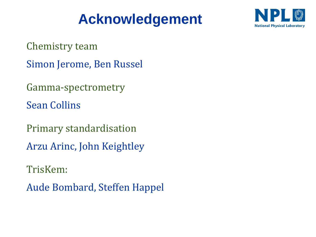## **Acknowledgement**



Chemistry team

Simon Jerome, Ben Russel

Gamma-spectrometry

Sean Collins

Primary standardisation Arzu Arinc, John Keightley

TrisKem:

Aude Bombard, Steffen Happel